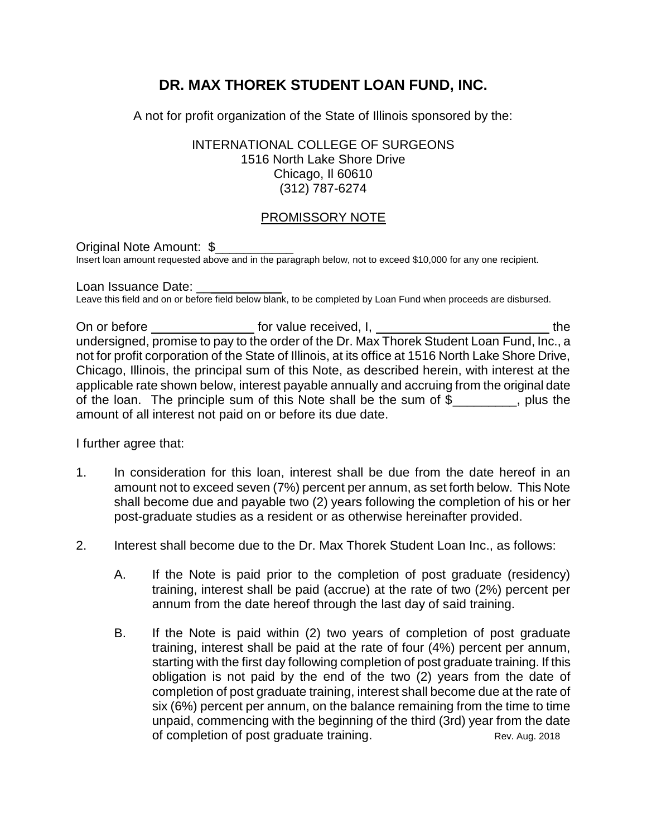# **DR. MAX THOREK STUDENT LOAN FUND, INC.**

A not for profit organization of the State of Illinois sponsored by the:

### INTERNATIONAL COLLEGE OF SURGEONS 1516 North Lake Shore Drive Chicago, Il 60610 (312) 787-6274

## PROMISSORY NOTE

#### Original Note Amount: \$ Insert loan amount requested above and in the paragraph below, not to exceed \$10,000 for any one recipient.

Loan Issuance Date: Leave this field and on or before field below blank, to be completed by Loan Fund when proceeds are disbursed.

On or before the formulation of the formulation of the formulation of the formulation of the formulation of the the the the state of the state of the state of the state of the state of the state of the state of the state o undersigned, promise to pay to the order of the Dr. Max Thorek Student Loan Fund, Inc., a not for profit corporation of the State of Illinois, at its office at 1516 North Lake Shore Drive, Chicago, Illinois, the principal sum of this Note, as described herein, with interest at the applicable rate shown below, interest payable annually and accruing from the original date of the loan. The principle sum of this Note shall be the sum of \$ plus the amount of all interest not paid on or before its due date.

I further agree that:

- 1. In consideration for this loan, interest shall be due from the date hereof in an amount not to exceed seven (7%) percent per annum, as set forth below. This Note shall become due and payable two (2) years following the completion of his or her post-graduate studies as a resident or as otherwise hereinafter provided.
- 2. Interest shall become due to the Dr. Max Thorek Student Loan Inc., as follows:
	- A. If the Note is paid prior to the completion of post graduate (residency) training, interest shall be paid (accrue) at the rate of two (2%) percent per annum from the date hereof through the last day of said training.
	- B. If the Note is paid within (2) two years of completion of post graduate training, interest shall be paid at the rate of four (4%) percent per annum, starting with the first day following completion of post graduate training. If this obligation is not paid by the end of the two (2) years from the date of completion of post graduate training, interest shall become due at the rate of six (6%) percent per annum, on the balance remaining from the time to time unpaid, commencing with the beginning of the third (3rd) year from the date of completion of post graduate training. The Rev. Aug. 2018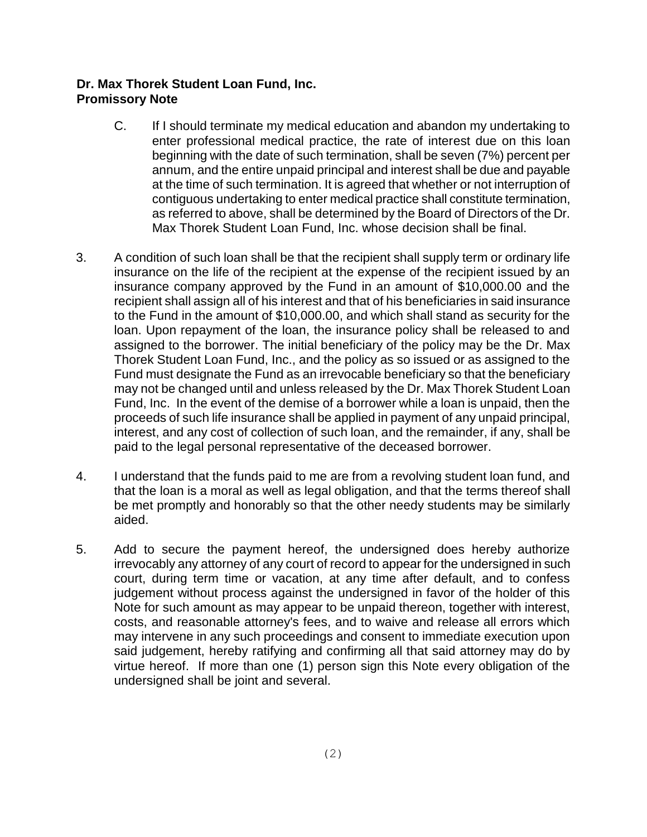## **Dr. Max Thorek Student Loan Fund, Inc. Promissory Note**

- C. If I should terminate my medical education and abandon my undertaking to enter professional medical practice, the rate of interest due on this loan beginning with the date of such termination, shall be seven (7%) percent per annum, and the entire unpaid principal and interest shall be due and payable at the time of such termination. It is agreed that whether or not interruption of contiguous undertaking to enter medical practice shall constitute termination, as referred to above, shall be determined by the Board of Directors of the Dr. Max Thorek Student Loan Fund, Inc. whose decision shall be final.
- 3. A condition of such loan shall be that the recipient shall supply term or ordinary life insurance on the life of the recipient at the expense of the recipient issued by an insurance company approved by the Fund in an amount of \$10,000.00 and the recipient shall assign all of his interest and that of his beneficiaries in said insurance to the Fund in the amount of \$10,000.00, and which shall stand as security for the loan. Upon repayment of the loan, the insurance policy shall be released to and assigned to the borrower. The initial beneficiary of the policy may be the Dr. Max Thorek Student Loan Fund, Inc., and the policy as so issued or as assigned to the Fund must designate the Fund as an irrevocable beneficiary so that the beneficiary may not be changed until and unless released by the Dr. Max Thorek Student Loan Fund, Inc. In the event of the demise of a borrower while a loan is unpaid, then the proceeds of such life insurance shall be applied in payment of any unpaid principal, interest, and any cost of collection of such loan, and the remainder, if any, shall be paid to the legal personal representative of the deceased borrower.
- 4. I understand that the funds paid to me are from a revolving student loan fund, and that the loan is a moral as well as legal obligation, and that the terms thereof shall be met promptly and honorably so that the other needy students may be similarly aided.
- 5. Add to secure the payment hereof, the undersigned does hereby authorize irrevocably any attorney of any court of record to appear for the undersigned in such court, during term time or vacation, at any time after default, and to confess judgement without process against the undersigned in favor of the holder of this Note for such amount as may appear to be unpaid thereon, together with interest, costs, and reasonable attorney's fees, and to waive and release all errors which may intervene in any such proceedings and consent to immediate execution upon said judgement, hereby ratifying and confirming all that said attorney may do by virtue hereof. If more than one (1) person sign this Note every obligation of the undersigned shall be joint and several.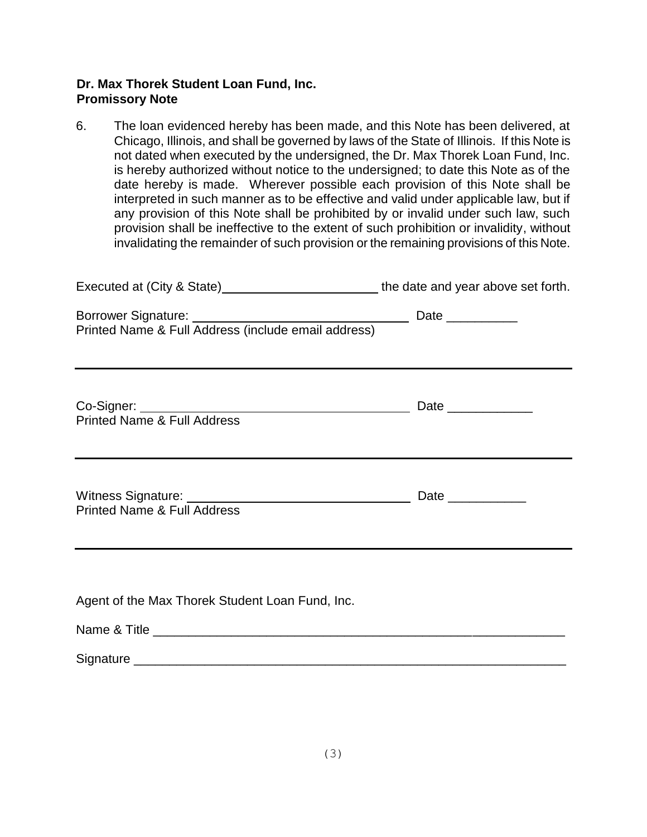### **Dr. Max Thorek Student Loan Fund, Inc. Promissory Note**

6. The loan evidenced hereby has been made, and this Note has been delivered, at Chicago, Illinois, and shall be governed by laws of the State of Illinois. If this Note is not dated when executed by the undersigned, the Dr. Max Thorek Loan Fund, Inc. is hereby authorized without notice to the undersigned; to date this Note as of the date hereby is made. Wherever possible each provision of this Note shall be interpreted in such manner as to be effective and valid under applicable law, but if any provision of this Note shall be prohibited by or invalid under such law, such provision shall be ineffective to the extent of such prohibition or invalidity, without invalidating the remainder of such provision or the remaining provisions of this Note.

| Executed at (City & State)______________________________the date and year above set forth.                                                                                                                                                         |  |
|----------------------------------------------------------------------------------------------------------------------------------------------------------------------------------------------------------------------------------------------------|--|
|                                                                                                                                                                                                                                                    |  |
| <u> 1989 - Andrea Santa Andrea Santa Andrea Santa Andrea Santa Andrea Santa Andrea Santa Andrea Santa Andrea San</u><br><b>Printed Name &amp; Full Address</b><br>,我们也不会有什么。""我们的人,我们也不会有什么?""我们的人,我们也不会有什么?""我们的人,我们也不会有什么?""我们的人,我们也不会有什么?""我们的人 |  |
| <b>Printed Name &amp; Full Address</b><br>,我们也不会有什么。""我们的人,我们也不会有什么?""我们的人,我们也不会有什么?""我们的人,我们也不会有什么?""我们的人,我们也不会有什么?""我们的人                                                                                                                         |  |
| Agent of the Max Thorek Student Loan Fund, Inc.                                                                                                                                                                                                    |  |
|                                                                                                                                                                                                                                                    |  |